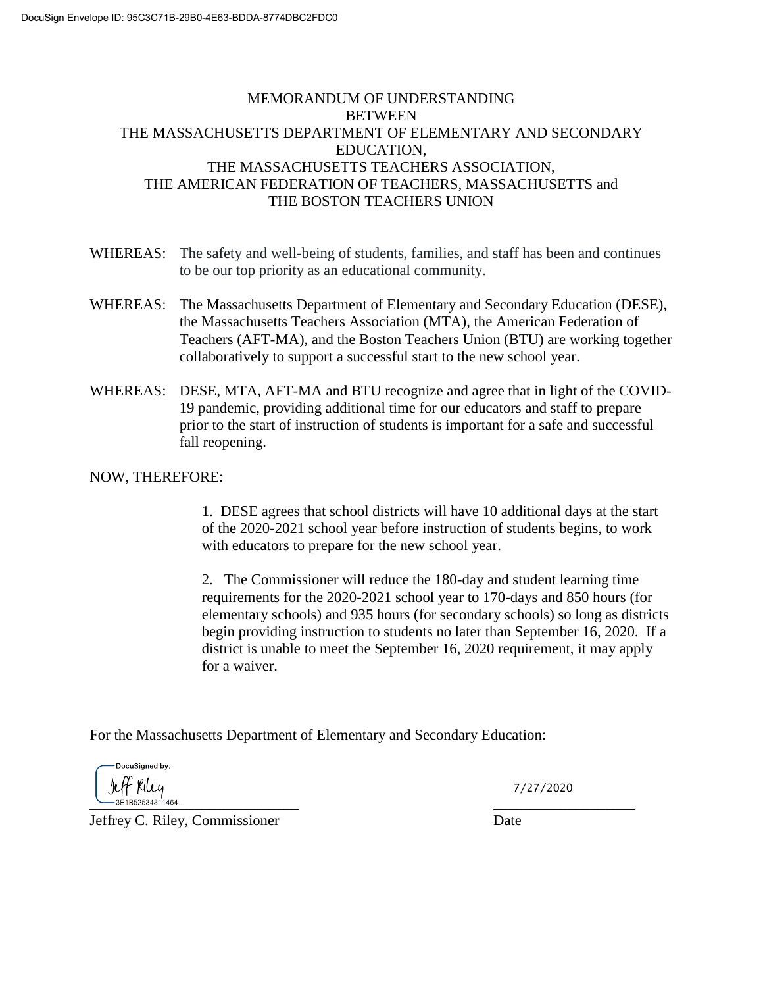## MEMORANDUM OF UNDERSTANDING **BETWEEN** THE MASSACHUSETTS DEPARTMENT OF ELEMENTARY AND SECONDARY EDUCATION, THE MASSACHUSETTS TEACHERS ASSOCIATION, THE AMERICAN FEDERATION OF TEACHERS, MASSACHUSETTS and THE BOSTON TEACHERS UNION

- WHEREAS: The safety and well-being of students, families, and staff has been and continues to be our top priority as an educational community.
- WHEREAS: The Massachusetts Department of Elementary and Secondary Education (DESE), the Massachusetts Teachers Association (MTA), the American Federation of Teachers (AFT-MA), and the Boston Teachers Union (BTU) are working together collaboratively to support a successful start to the new school year.
- WHEREAS: DESE, MTA, AFT-MA and BTU recognize and agree that in light of the COVID-19 pandemic, providing additional time for our educators and staff to prepare prior to the start of instruction of students is important for a safe and successful fall reopening.

## NOW, THEREFORE:

1. DESE agrees that school districts will have 10 additional days at the start of the 2020-2021 school year before instruction of students begins, to work with educators to prepare for the new school year.

2. The Commissioner will reduce the 180-day and student learning time requirements for the 2020-2021 school year to 170-days and 850 hours (for elementary schools) and 935 hours (for secondary schools) so long as districts begin providing instruction to students no later than September 16, 2020. If a district is unable to meet the September 16, 2020 requirement, it may apply for a waiver.

For the Massachusetts Department of Elementary and Secondary Education:

DocuSianed by: Jeff Riley \_\_\_\_\_\_\_\_\_\_\_\_\_\_\_\_\_\_\_\_\_\_\_\_\_\_\_\_ \_\_\_\_\_\_\_\_\_\_\_\_\_\_\_\_\_\_\_

7/27/2020

Jeffrey C. Riley, Commissioner Date